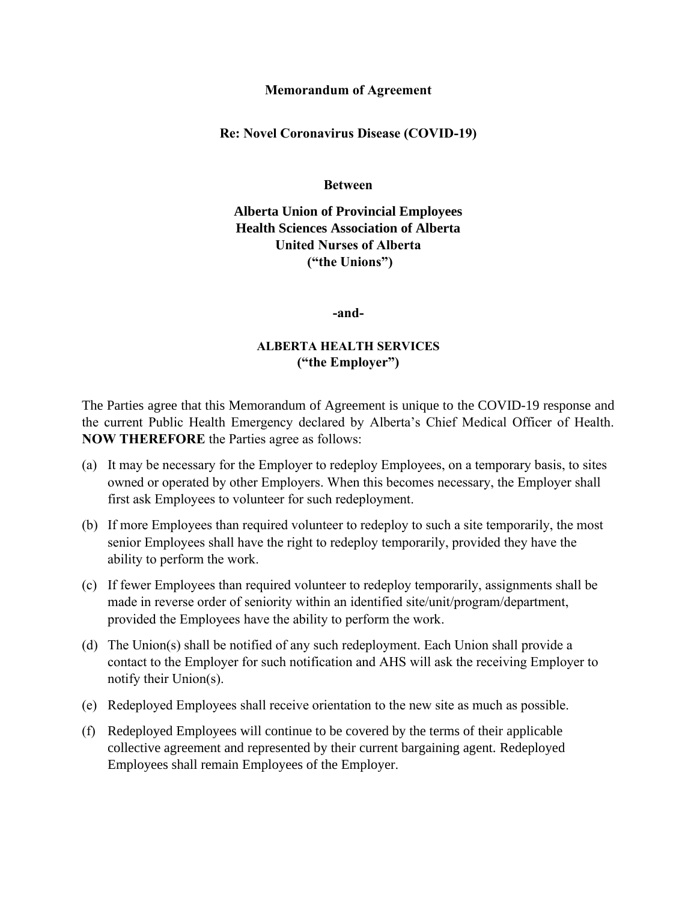## **Memorandum of Agreement**

**Re: Novel Coronavirus Disease (COVID-19)**

**Between**

**Alberta Union of Provincial Employees Health Sciences Association of Alberta United Nurses of Alberta ("the Unions")**

**-and-**

## **ALBERTA HEALTH SERVICES ("the Employer")**

The Parties agree that this Memorandum of Agreement is unique to the COVID-19 response and the current Public Health Emergency declared by Alberta's Chief Medical Officer of Health. **NOW THEREFORE** the Parties agree as follows:

- (a) It may be necessary for the Employer to redeploy Employees, on a temporary basis, to sites owned or operated by other Employers. When this becomes necessary, the Employer shall first ask Employees to volunteer for such redeployment.
- (b) If more Employees than required volunteer to redeploy to such a site temporarily, the most senior Employees shall have the right to redeploy temporarily, provided they have the ability to perform the work.
- (c) If fewer Employees than required volunteer to redeploy temporarily, assignments shall be made in reverse order of seniority within an identified site/unit/program/department, provided the Employees have the ability to perform the work.
- (d) The Union(s) shall be notified of any such redeployment. Each Union shall provide a contact to the Employer for such notification and AHS will ask the receiving Employer to notify their Union(s).
- (e) Redeployed Employees shall receive orientation to the new site as much as possible.
- (f) Redeployed Employees will continue to be covered by the terms of their applicable collective agreement and represented by their current bargaining agent. Redeployed Employees shall remain Employees of the Employer.